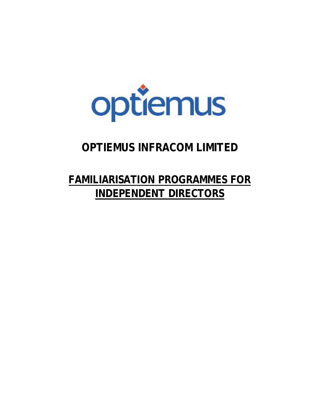

## **OPTIEMUS INFRACOM LIMITED**

## **FAMILIARISATION PROGRAMMES FOR INDEPENDENT DIRECTORS**